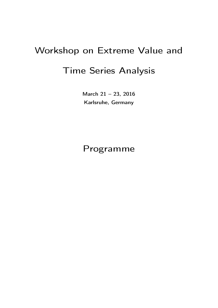# Workshop on Extreme Value and Time Series Analysis

March 21 – 23, 2016 Karlsruhe, Germany

# Programme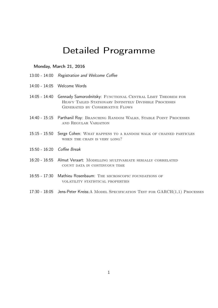# Detailed Programme

### Monday, March 21, 2016

- 13:00 14:00 Registration and Welcome Coffee
- 14:00 14:05 Welcome Words
- 14:05 14:40 Gennady Samorodnitsky: FUNCTIONAL CENTRAL LIMIT THEOREM FOR HEAVY TAILED STATIONARY INFINITELY DIVISIBLE PROCESSES Generated by Conservative Flows
- 14:40 15:15 Parthanil Roy: BRANCHING RANDOM WALKS, STABLE POINT PROCESSES and Regular Variation
- 15:15 15:50 Serge Cohen: What happens to a random walk of chained particles WHEN THE CHAIN IS VERY LONG?
- 15:50 16:20 Coffee Break
- 16:20 16:55 Almut Veraart: Modelling multivariate serially correlated count data in continuous time
- 16:55 17:30 Mathieu Rosenbaum: The microscopic foundations of volatility statistical properties
- 17:30 18:05 Jens-Peter Kreiss: A MODEL SPECIFICATION TEST FOR GARCH(1,1) PROCESSES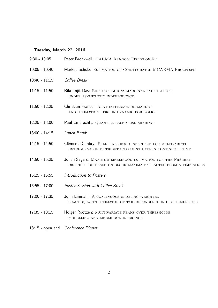# Tuesday, March 22, 2016

| $9:30 - 10:05$     | Peter Brockwell: CARMA RANDOM FIELDS ON R <sup>n</sup>                                                                         |
|--------------------|--------------------------------------------------------------------------------------------------------------------------------|
| $10:05 - 10:40$    | Markus Scholz: ESTIMATION OF COINTEGRATED MCARMA PROCESSES                                                                     |
| $10:40 - 11:15$    | Coffee Break                                                                                                                   |
| $11:15 - 11:50$    | Bikramjit Das: RISK CONTAGION: MARGINAL EXPECTATIONS<br>UNDER ASYMPTOTIC INDEPENDENCE                                          |
| $11:50 - 12:25$    | Christian Francq: JOINT INFERENCE ON MARKET<br>AND ESTIMATION RISKS IN DYNAMIC PORTFOLIOS                                      |
| $12:25 - 13:00$    | Paul Embrechts: QUANTILE-BASED RISK SHARING                                                                                    |
| $13:00 - 14:15$    | Lunch Break                                                                                                                    |
| $14:15 - 14:50$    | Clément Dombry: FULL LIKELIHOOD INFERENCE FOR MULTIVARIATE<br>EXTREME VALUE DISTRIBUTIONS COUNT DATA IN CONTINUOUS TIME        |
| $14:50 - 15:25$    | Johan Segers: MAXIMUM LIKELIHOOD ESTIMATION FOR THE FRÉCHET<br>DISTRIBUTION BASED ON BLOCK MAXIMA EXTRACTED FROM A TIME SERIES |
| $15:25 - 15:55$    | Introduction to Posters                                                                                                        |
| $15:55 - 17:00$    | Poster Session with Coffee Break                                                                                               |
| $17:00 - 17:35$    | John Einmahl: A CONTINUOUS UPDATING WEIGHTED<br>LEAST SQUARES ESTIMATOR OF TAIL DEPENDENCE IN HIGH DIMENSIONS                  |
| $17:35 - 18:15$    | Holger Rootzén: MULTIVARIATE PEAKS OVER THRESHOLDS<br>MODELLING AND LIKELIHOOD INFERENCE                                       |
| $18:15$ - open end | Conference Dinner                                                                                                              |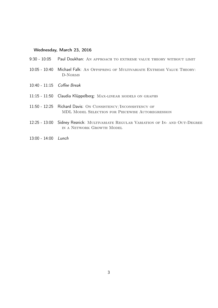### Wednesday, March 23, 2016

- 9:30 10:05 Paul Doukhan: An approach to extreme value theory without limit
- 10:05 10:40 Michael Falk: An Offspring of Multivariate Extreme Value Theory: D-Norms
- 10:40 11:15 Coffee Break
- 11:15 11:50 Claudia Klüppelberg: Max-linear models on graphs
- 11:50 12:25 Richard Davis: On Consistency/Inconsistency of MDL Model Selection for Piecewise Autoregression
- 12:25 13:00 Sidney Resnick: Multivariate Regular Variation of In- and Out-Degree in a Network Growth Model
- 13:00 14:00 Lunch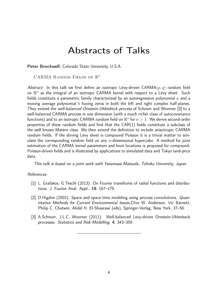# Abstracts of Talks

Peter Brockwell, Colorado State University, U.S.A.

CARMA RANDOM FIELDS ON  $\mathbb{R}^n$ 

Abstract: In this talk we first define an isotropic Lévy-driven CARMA $(p, q)$  random field on  $\mathbb{R}^n$  as the integral of an isotropic CARMA kernel with respect to a Lévy sheet. Such fields constitute a parametric family characterized by an autoregressive polynomial  $a$  and a moving average polynomial b having zeros in both the left and right complex half-planes. They extend the well-balanced Ornstein-Uhlenbeck process of Schnurr and Woerner [3] to a well-balanced CARMA process in one dimension (with a much richer class of autocovariance functions) and to an isotropic CARMA random field on  $\mathbb{R}^n$  for  $n>1.$  We derive second-order properties of these random fields and find that the CAR(1) fields constitute a subclass of the well known Matérn class. We then extend the definition to include anisotropic CARMA random fields. If the driving Lévy sheet is compound Poisson it is a trivial matter to simulate the corresponding random field on any  $n$ -dimensional hypercube. A method for joint estimation of the CARMA kernel parameters and knot locations is proposed for compound-Poisson-driven fields and is illustrated by applications to simulated data and Tokyo land-price data.

This talk is based on a joint work with Yasumasa Matsuda, Tohoku University, Japan

### References:

- [1] L. Grafakos, G.Teschl (2013). On Fourier transfroms of radial functions and distributions. J. Fourier Anal. Appl., 19, 167–179.
- [2] D.Higdon (2002). Space and space-time modeling using process convolutions. Quantitative Methods for Current Environmental Issues,Clive W. Anderson, Vic Barnett, Philip C. Chatwin, Abdel H. El-Shaarawi (eds), Springer-Verlag, New York, 37–56.
- [3] A.Schnurr, J.L.C. Woerner (2011). Well-balanced Lévy-driven Ornstein-Uhlenbeck processes. Statistics and Risk Modelling, 4, 343–359.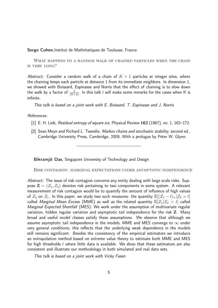#### Serge Cohen, Institut de Mathmatiques de Toulouse, France

WHAT HAPPENS TO A RANDOM WALK OF CHAINED PARTICLES WHEN THE CHAIN is very long?

Abstract: Consider a random walk of a chain of  $K + 1$  particles at integer sites, where the chaining keeps each particle at distance 1 from its immediate neighbors. In dimension 1, we showed with Boissard, Espinasse and Norris that the effect of chaining is to slow down the walk by a factor of  $\frac{2}{(K+2)}.$  In this talk I will make some remarks for the cases when K is infinite.

This talk is based on a joint work with E. Boissard, T. Espinasse and J. Norris

#### References:

- [1] E. H. Lieb, Residual entropy of square ice, Physical Review 162 (1967), no. 1, 162–172.
- [2] Sean Meyn and Richard L. Tweedie, Markov chains and stochastic stability, second ed., Cambridge University Press, Cambridge, 2009, With a prologue by Peter W. Glynn.

Bikramjit Das, Singapore University of Technology and Design

Risk contagion: marginal expectations under asymptotic independence

Abstract: The issue of risk contagion concerns any entity dealing with large scale risks. Suppose  $\mathbf{Z} = (Z_1, Z_2)$  denotes risk pertaining to two components in some system. A relevant measurement of risk contagion would be to quantify the amount of influence of high values of  $Z_2$  on  $Z_1$ . In this paper, we study two such measures: the quantity  $\mathbb{E}[(Z_1 - t)_+|Z_2 > t]$ called Marginal Mean Excess (MME) as well as the related quantity  $\mathbb{E}[Z_1|Z_2 > t]$  called Marginal Expected Shortfall (MES). We work under the assumption of multivariate regular variation, hidden regular variation and asymptotic tail independence for the risk Z. Many broad and useful model classes satisfy these assumptions. We observe that although we assume asymptotic tail independence in the models, MME and MES converge to  $\infty$  under very general conditions; this reflects that the underlying weak dependence in the models still remains significant. Besides the consistency of the empirical estimators we introduce an extrapolation method based on extreme value theory to estimate both MME and MES for high thresholds  $t$  where little data is available. We show that these estimators are also consistent and illustrate our methodology in both simulated and real data sets.

This talk is based on a joint work with Vicky Fasen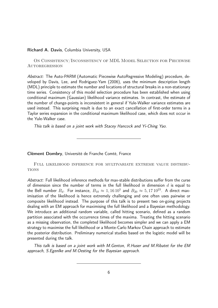#### Richard A. Davis, Columbia University, USA

On Consistency/Inconsistency of MDL Model Selection for Piecewise **AUTOREGRESSION** 

Abstract: The Auto-PARM (Automatic Piecewise AutoRegressive Modeling) procedure, developed by Davis, Lee, and Rodriguez-Yam (2006), uses the minimum description length (MDL) principle to estimate the number and locations of structural breaks in a non-stationary time series. Consistency of this model selection procedure has been established when using conditional maximum (Gaussian) likelihood variance estimates. In contrast, the estimate of the number of change-points is inconsistent in general if Yule-Walker variance estimates are used instead. This surprising result is due to an exact cancellation of first-order terms in a Taylor series expansion in the conditional maximum likelihood case, which does not occur in the Yule-Walker case.

This talk is based on a joint work with Stacey Hancock and Yi-Ching Yao.

Clément Dombry, Université de Franche Comté, France

Full likelihood inference for multivariate extreme value distribu-**TIONS** 

Abstract: Full likelihood inference methods for max-stable distributions suffer from the curse of dimension since the number of terms in the full likelihood in dimension  $d$  is equal to the Bell number  $B_d$ . For instance,  $B_{10}\approx 1, 16\,10^5$  and  $B_{20}\approx 5, 17\,10^{23}.$  A direct maximisation of the likelihood is hence extremely challenging and one often uses pairwise or composite likelihood instead. The purpose of this talk is to present two on-going projects dealing with an EM approach for maximising the full likelihood and a Bayesian methodology. We introduce an additional random variable, called hitting scenario, defined as a random partition associated with the occurrence times of the maxima. Treating the hitting scenario as a missing observation, the completed likelihood becomes simpler and we can apply a EM strategy to maximise the full likelihood or a Monte-Carlo Markov Chain approach to estimate the posterior distribution. Preliminary numerical studies based on the logistic model will be presented during the talk.

This talk is based on a joint work with M.Genton, R.Huser and M.Ribatet for the EM approach, S.Egenlke and M.Oesting for the Bayesian approach.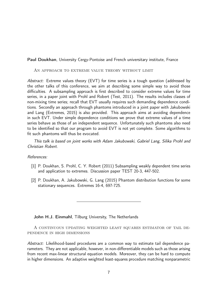Paul Doukhan, University Cergy-Pontoise and French universitary institute, France

AN APPROACH TO EXTREME VALUE THEORY WITHOUT LIMIT

Abstract: Extreme values theory (EVT) for time series is a tough question (addressed by the other talks of this conference, we aim at describing some simple way to avoid those difficulties. A subsampling approach is first described to consider extreme values for time series, in a paper joint with Prohl and Robert (Test, 2011). The results includes classes of non-mixing time series; recall that EVT usually requires such demanding dependence conditions. Secondly an approach through phantoms introduced in a joint paper with Jakubowski and Lang (Extremes, 2015) is also provided. This approach aims at avoiding dependence in such EVT. Under simple dependence conditions we prove that extreme values of a time series behave as those of an independent sequence. Unfortunately such phantoms also need to be identified so that our program to avoid EVT is not yet complete. Some algorithms to fit such phantoms will thus be evocated.

This talk is based on joint works with Adam Jakubowski, Gabriel Lang, Silika Prohl and Christian Robert.

References:

- [1] P. Doukhan, S. Prohl, C. Y. Robert (2011) Subsampling weakly dependent time series and application to extremes. Discussion paper TEST 20-3, 447-502.
- [2] P. Doukhan, A. Jakubowski, G. Lang (2015) Phantom distribution functions for some stationary sequences. Extremes 16-4, 697-725.

John H.J. Einmahl, Tilburg University, The Netherlands

A continuous updating weighted least squares estimator of tail dependence in high dimensions

Abstract: Likelihood-based procedures are a common way to estimate tail dependence parameters. They are not applicable, however, in non-differentiable models such as those arising from recent max-linear structural equation models. Moreover, they can be hard to compute in higher dimensions. An adaptive weighted least-squares procedure matching nonparametric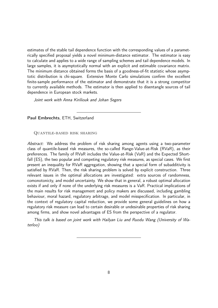estimates of the stable tail dependence function with the corresponding values of a parametrically specified proposal yields a novel minimum-distance estimator. The estimator is easy to calculate and applies to a wide range of sampling schemes and tail dependence models. In large samples, it is asymptotically normal with an explicit and estimable covariance matrix. The minimum distance obtained forms the basis of a goodness-of-fit statistic whose asymptotic distribution is chi-square. Extensive Monte Carlo simulations confirm the excellent finite-sample performance of the estimator and demonstrate that it is a strong competitor to currently available methods. The estimator is then applied to disentangle sources of tail dependence in European stock markets.

Joint work with Anna Kiriliouk and Johan Segers

Paul Embrechts, ETH, Switzerland

#### Quantile-based risk sharing

Abstract: We address the problem of risk sharing among agents using a two-parameter class of quantile-based risk measures, the so-called Range-Value-at-Risk (RVaR), as their preferences. The family of RVaR includes the Value-at-Risk (VaR) and the Expected Shortfall (ES), the two popular and competing regulatory risk measures, as special cases. We first present an inequality for RVaR aggregation, showing that a special form of subadditivity is satisfied by RVaR. Then, the risk sharing problem is solved by explicit construction. Three relevant issues in the optimal allocations are investigated: extra sources of randomness, comonotonicty, and model uncertainty. We show that in general, a robust optimal allocation exists if and only if none of the underlying risk measures is a VaR. Practical implications of the main results for risk management and policy makers are discussed, including gambling behaviour, moral hazard, regulatory arbitrage, and model misspecification. In particular, in the context of regulatory capital reduction, we provide some general guidelines on how a regulatory risk measure can lead to certain desirable or undesirable properties of risk sharing among firms, and show novel advantages of ES from the perspective of a regulator.

This talk is based on joint work with Hailyan Liu and Ruodu Wang (University of Waterloo)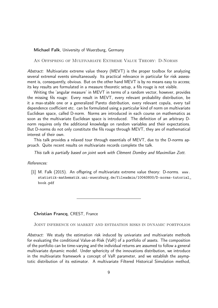#### Michael Falk, University of Wuerzburg, Germany

An Offspring of Multivariate Extreme Value Theory: D-Norms

Abstract: Multivariate extreme value theory (MEVT) is the proper toolbox for analyzing several extremal events simultaneously. Its practical relevance in particular for risk assessment is, consequently, obvious. But on the other hand MEVT is by no means easy to access; its key results are formulated in a measure theoretic setup, a fils rouge is not visible.

Writing the 'angular measure' in MEVT in terms of a random vector, however, provides the missing fils rouge: Every result in MEVT, every relevant probability distribution, be it a max-stable one or a generalized Pareto distribution, every relevant copula, every tail dependence coefficient etc. can be formulated using a particular kind of norm on multivariate Euclidean space, called D-norm. Norms are introduced in each course on mathematics as soon as the multivariate Euclidean space is introduced. The definition of an arbitrary Dnorm requires only the additional knowledge on random variables and their expectations. But D-norms do not only constitute the fils rouge through MEVT, they are of mathematical interest of their own.

This talk provides a relaxed tour through essentials of MEVT, due to the D-norms approach. Quite recent results on multivariate records complete the talk.

This talk is partially based on joint work with Clément Dombry and Maximilian Zott.

#### References:

[1] M. Falk (2015). An offspring of multivariate extreme value theory: D-norms. www. statistik-mathematik.uni-wuerzburg.de/fileadmin/10040800/D-norms-tutorial\_ book.pdf

Christian Francq, CREST, France

Joint inference on market and estimation risks in dynamic portfolios

Abstract: We study the estimation risk induced by univariate and multivariate methods for evaluating the conditional Value-at-Risk (VaR) of a portfolio of assets. The composition of the portfolio can be time-varying and the individual returns are assumed to follow a general multivariate dynamic model. Under sphericity of the innovations distribution, we introduce in the multivariate framework a concept of VaR parameter, and we establish the asymptotic distribution of its estimator. A multivariate Filtered Historical Simulation method,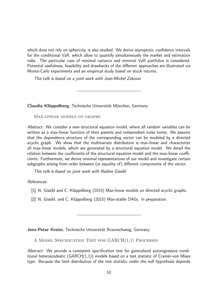which does not rely on sphericity, is also studied. We derive asymptotic confidence intervals for the conditional VaR, which allow to quantify simultaneously the market and estimation risks. The particular case of minimal variance and minimal VaR portfolios is considered. Potential usefulness, feasibility and drawbacks of the different approaches are illustrated via Monte-Carlo experiments and an empirical study based on stock returns.

This talk is based on a joint work with Jean-Michel Zakoian

Claudia Klüppelberg, Technische Universität München, Germany

Max-linear models on graphs

Abstract: We consider a new structural equation model, where all random variables can be written as a max-linear function of their parents and independent noise terms. We assume that the dependence structure of the corresponding vector can be modeled by a directed acyclic graph. We show that the multivariate distribution is max-linear and characterize all max-linear models, which are generated by a structural equation model. We detail the relation between the coefficients of the structural equation model and the max-linear coefficients. Furthermore, we derive minimal representations of our model and investigate certain subgraphs arising from order between (or equality of) different components of the vector.

This talk is based on joint work with Nadine Gissibl

References:

- [1] N. Gissibl and C. Klüppelberg (2015) Max-linear models on directed acyclic graphs.
- [2] N. Gissibl, and C. Klüppelberg (2015) Max-stable DAGs. In preparation.

Jens-Peter Kreiss, Technische Universität Braunschweig, Germany

A Model Specification Test for GARCH(1,1) Processes

Abstract: We provide a consistent specification test for generalized autoregressive conditional heteroscedastic (GARCH(1,1)) models based on a test statistic of Cramér-von Mises type. Because the limit distribution of the test statistic under the null hypothesis depends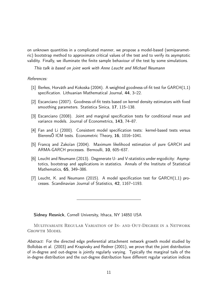on unknown quantities in a complicated manner, we propose a model-based (semiparametric) bootstrap method to approximate critical values of the test and to verify its asymptotic validity. Finally, we illuminate the finite sample behaviour of the test by some simulations.

This talk is based on joint work with Anne Leucht and Michael Neumann

# References:

- [1] Berkes, Horváth and Kokoska (2004). A weighted goodness-of-fit test for GARCH(1,1) specification. Lithuanian Mathematical Journal, 44, 3–22.
- [2] Escanciano (2007). Goodness-of-fit tests based on kernel density estimators with fixed smoothing parameters. Statistica Sinica, 17, 115–138.
- [3] Escanciano (2008). Joint and marginal specification tests for conditional mean and variance models. Journal of Econometrics, 143, 74–87.
- [4] Fan and Li (2000). Consistent model specification tests: kernel-based tests versus BierensÕ ICM tests. Econometric Theory, 16, 1016–1041.
- [5] Francq and Zakoïan (2004). Maximum likelihood estimation of pure GARCH and ARMA-GARCH processes. Bernoulli, 10, 605–637.
- [6] Leucht and Neumann (2013). Degenerate U- and V-statistics under ergodicity: Asymptotics, bootstrap and applications in statistics. Annals of the Institute of Statistical Mathematics, 65, 349–386.
- [7] Leucht, K. and Neumann (2015). A model specification test for GARCH(1,1) processes. Scandinavian Journal of Statistics, 42, 1167–1193.

Sidney Resnick, Cornell University, Ithaca, NY 14850 USA

Multivariate Regular Variation of In- and Out-Degree in a Network Growth Model

Abstract: For the directed edge preferential attachment network growth model studied by Bollobás et al. (2003) and Krapivsky and Redner (2001), we prove that the joint distribution of in-degree and out-degree is jointly regularly varying. Typically the marginal tails of the in-degree distribution and the out-degree distribution have different regular variation indices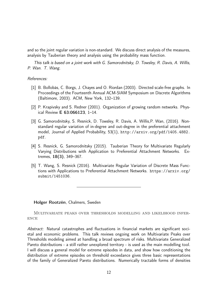and so the joint regular variation is non-standard. We discuss direct analysis of the measures, analysis by Tauberian theory and analysis using the probability mass function.

This talk is based on a joint work with G. Samorodnitsky, D. Towsley, R. Davis, A. Willis, P. Wan. T. Wang.

# References:

- [1] B. Bollobás, C. Borgs, J. Chayes and O. Riordan (2003). Directed scale-free graphs. In Proceedings of the Fourteenth Annual ACM-SIAM Symposium on Discrete Algorithms (Baltimore, 2003). ACM, New York, 132–139.
- [2] P. Krapivsky and S. Redner (2001). Organization of growing random networks. Physical Review E 63:066123, 1–14.
- [3] G. Samorodnitsky, S. Resnick, D. Towsley, R. Davis, A. Willis,P. Wan, (2016). Nonstandard regular variation of in-degree and out-degree in the preferential attachment model, Journal of Applied Probability, 53(1), http://arxiv.org/pdf/1405.4882. pdf.
- [4] S. Resnick, G. Samorodnitsky (2015). Tauberian Theory for Multivariate Regularly Varying Distributions with Application to Preferential Attachment Networks. Extremes, 18(3), 349–367.
- [5] T. Wang, S. Resnick (2016). Multivariate Regular Variation of Discrete Mass Functions with Applications to Preferential Attachment Networks. https://arxiv.org/ submit/1451036.

Holger Rootzén, Chalmers, Sweden

Multivariate peaks over thresholds modelling and likelihood infer-**ENCE** 

Abstract: Natural catastrophes and fluctuations in financial markets are significant societal and economic problems. This talk reviews ongoing work on Multivariate Peaks over Thresholds modeling aimed at handling a broad spectrum of risks. Multivariate Generalized Pareto distributions - a still rather unexplored territory - is used as the main modelling tool. I will discuss a general model for extreme episodes in data, and show how conditioning the distribution of extreme episodes on threshold exceedance gives three basic representations of the family of Generalized Pareto distributions. Numerically tractable forms of densities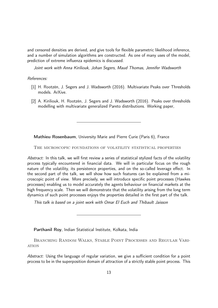and censored densities are derived, and give tools for flexible parametric likelihood inference, and a number of simulation algorithms are constructed. As one of many uses of the model, prediction of extreme influenza epidemics is discussed.

Joint work with Anna Kiriliouk, Johan Segers, Maud Thomas, Jennifer Wadsworth

# References:

- [1] H. Rootzén, J. Segers and J. Wadsworth (2016). Multivariate Peaks over Thresholds models. ArXive.
- [2] A. Kiriliouk, H. Rootzén, J. Segers and J. Wadsworth (2016). Peaks over thresholds modelling with multivariate generalized Pareto distributions. Working paper,

Mathieu Rosenbaum, University Marie and Pierre Curie (Paris 6), France

The microscopic foundations of volatility statistical properties

Abstract: In this talk, we will first review a series of statistical stylized facts of the volatility process typically encountered in financial data. We will in particular focus on the rough nature of the volatility, its persistence properties, and on the so-called leverage effect. In the second part of the talk, we will show how such features can be explained from a microscopic point of view. More precisely, we will introduce specific point processes (Hawkes processes) enabling us to model accurately the agents behaviour on financial markets at the high frequency scale. Then we will demonstrate that the volatility arising from the long term dynamics of such point processes enjoys the properties detailed in the first part of the talk.

This talk is based on a joint work with Omar El Euch and Thibault Jaisson

Parthanil Roy, Indian Statistical Institute, Kolkata, India

Branching Random Walks, Stable Point Processes and Regular Vari-**ATION** 

Abstract: Using the language of regular variation, we give a sufficient condition for a point process to be in the superposition domain of attraction of a strictly stable point process. This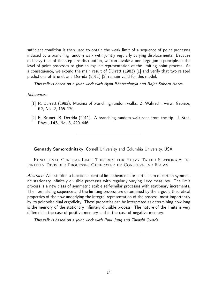sufficient condition is then used to obtain the weak limit of a sequence of point processes induced by a branching random walk with jointly regularly varying displacements. Because of heavy tails of the step size distribution, we can invoke a one large jump principle at the level of point processes to give an explicit representation of the limiting point process. As a consequence, we extend the main result of Durrett (1983) [1] and verify that two related predictions of Brunet and Derrida (2011) [2] remain valid for this model.

This talk is based on a joint work with Ayan Bhattacharya and Rajat Subhra Hazra.

### References:

- [1] R. Durrett (1983). Maxima of branching random walks. Z. Wahrsch. Verw. Gebiete, 62, No. 2, 165–170.
- [2] E. Brunet, B. Derrida (2011). A branching random walk seen from the tip. J. Stat. Phys., 143, No. 3, 420–446.

Gennady Samorodnitsky, Cornell University and Columbia University, USA

Functional Central Limit Theorem for Heavy Tailed Stationary Infinitely Divisible Processes Generated by Conservative Flows

Abstract: We establish a functional central limit theorems for partial sum of certain symmetric stationary infinitely divisible processes with regularly varying Levy measures. The limit process is a new class of symmetric stable self-similar processes with stationary increments. The normalizing sequence and the limiting process are determined by the ergodic theoretical properties of the flow underlying the integral representation of the process, most importantly by its pointwise dual ergodicity. These properties can be interpreted as determining how long is the memory of the stationary infinitely divisible process. The nature of the limits is very different in the case of positive memory and in the case of negative memory.

This talk is based on a joint work with Paul Jung and Takashi Owada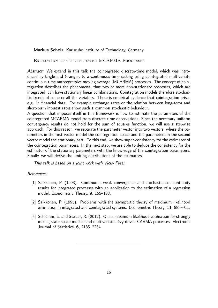### Markus Scholz, Karlsruhe Institute of Technology, Germany

ESTIMATION OF COINTEGRATED MCARMA PROCESSES

Abstract: We extend in this talk the cointegrated discrete-time model, which was introduced by Engle and Granger, to a continuous-time setting using cointegrated multivariate continuous-time autoregressive moving average (MCARMA) processes. The concept of cointegration describes the phenomena, that two or more non-stationary processes, which are integrated, can have stationary linear combinations. Cointegration models therefore stochastic trends of some or all the variables. There is empirical evidence that cointegration arises e.g. in financial data. For example exchange rates or the relation between long-term and short-term interest rates show such a common stochastic behaviour.

A question that imposes itself in this framework is how to estimate the parameters of the cointegrated MCARMA model from discrete-time observations. Since the necessary uniform convergence results do not hold for the sum of squares function, we will use a stepwise approach. For this reason, we separate the parameter vector into two vectors, where the parameters in the first vector model the cointegration space and the parameters in the second vector model the stationary part. To this end, we show super-consistency for the estimator of the cointegration parameters. In the next step, we are able to deduce the consistency for the estimator of the stationary parameters with the knowledge of the cointegration parameters. Finally, we will derive the limiting distributions of the estimators.

This talk is based on a joint work with Vicky Fasen

#### References:

- [1] Saikkonen, P. (1993). Continuous weak convergence and stochastic equicontinuity results for integrated processes with an application to the estimation of a regression model, Econometric Theory, 9, 155–188.
- [2] Saikkonen, P. (1995). Problems with the asymptotic theory of maximum likelihood estimation in integrated and cointegrated systems. Econometric Theory, 11, 888–911.
- [3] Schlemm, E. and Stelzer, R. (2012). Quasi maximum likelihood estimation for strongly mixing state space models and multivariate Lévy-driven CARMA processes. Electronic Journal of Statistics, 6, 2185–2234.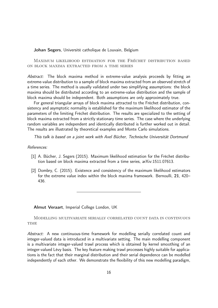#### Johan Segers, Université catholique de Louvain, Belgium

Maximum likelihood estimation for the Fréchet distribution based on block maxima extracted from a time series

Abstract: The block maxima method in extreme-value analysis proceeds by fitting an extreme-value distribution to a sample of block maxima extracted from an observed stretch of a time series. The method is usually validated under two simplifying assumptions: the block maxima should be distributed according to an extreme-value distribution and the sample of block maxima should be independent. Both assumptions are only approximately true.

For general triangular arrays of block maxima attracted to the Fréchet distribution, consistency and asymptotic normality is established for the maximum likelihood estimator of the parameters of the limiting Fréchet distribution. The results are specialized to the setting of block maxima extracted from a strictly stationary time series. The case where the underlying random variables are independent and identically distributed is further worked out in detail. The results are illustrated by theoretical examples and Monte Carlo simulations.

This talk is based on a joint work with Axel Bücher, Technische Universität Dortmund

#### References:

- [1] A. Bücher, J. Segers (2015). Maximum likelihood estimation for the Fréchet distribution based on block maxima extracted from a time series, arXiv:1511.07613.
- [2] Dombry, C. (2015). Existence and consistency of the maximum likelihood estimators for the extreme value index within the block maxima framework. Bernoulli, 21, 420– 436.

Almut Veraart, Imperial College London, UK

Modelling multivariate serially correlated count data in continuous **TIME** 

Abstract: A new continuous-time framework for modelling serially correlated count and integer-valued data is introduced in a multivariate setting. The main modelling component is a multivariate integer-valued trawl process which is obtained by kernel smoothing of an integer-valued Lévy basis. The key feature making trawl processes highly suitable for applications is the fact that their marginal distribution and their serial dependence can be modelled independently of each other. We demonstrate the flexibility of this new modelling paradigm,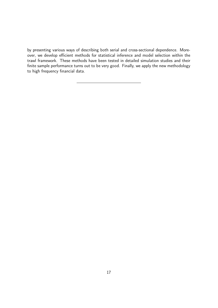by presenting various ways of describing both serial and cross-sectional dependence. Moreover, we develop efficient methods for statistical inference and model selection within the trawl framework. These methods have been tested in detailed simulation studies and their finite sample performance turns out to be very good. Finally, we apply the new methodology to high frequency financial data.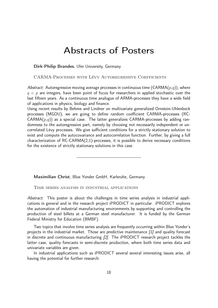# Abstracts of Posters

#### Dirk-Philip Brandes, Ulm University, Germany

#### CARMA-Processes with Lévy Autoregressive Coefficients

Abstract: Autoregressive moving average processes in continuous time (CARMA $(p,q)$ ), where  $q < p$  are integers, have been point of focus for researchers in applied stochastic over the last fifteen years. As a continuous time analogue of ARMA-processes they have a wide field of applications in physics, biology and finance.

Using recent results by Behme and Lindner on multivariate generalized Ornstein-Uhlenbeck processes (MGOU), we are going to define random coefficient CARMA-processes (RC- $CARMA(p,q)$ ) as a special case. The latter generalizes  $CARMA-processes$  by adding randomness to the autoregressive part, namely by choosing not necessarily independent or uncorrelated Lévy processes. We give sufficient conditions for a strictly stationary solution to exist and compute the autocovariance and autocorrelation function. Further, by giving a full characterization of RC-CARMA(2,1)-processes, it is possible to derive necessary conditions for the existence of strictly stationary solutions in this case.

Maximilian Christ, Blue Yonder GmbH, Karlsruhe, Germany

Time series analysis in industrial applications

Abstract: This poster is about the challenges in time series analysis in industrial applications in general and in the research project iPRODICT in particular. iPRODICT explores the automation of industrial manufacturing environments by supporting and controlling the production of steel billets at a German steel manufacturer. It is funded by the German Federal Ministry for Education (BMBF).

Two topics that involve time series analysis are frequently occurring within Blue Yonder's projects in the industrial market. Those are predictive maintenance [1] and quality forecast in discrete and continuous manufacturing [2]. The iPRODICT research project tackles the latter case, quality forecasts in semi-discrete production, where both time series data and univariate variables are given.

In industrial applications such as iPRODICT several several interesting issues arise, all having the potential for further research: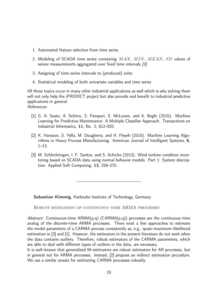- 1. Automated feature selection from time series
- 2. Modeling of SCADA time series containing MAX, MIN, MEAN, SD values of sensor measurements aggregated over fixed time intervals [3]
- 3. Assigning of time series intervals to (produced) units
- 4. Statistical modeling of both univariate variables and time series

All those topics occur in many other industrial applications as well which is why solving them will not only help the iPRODICT project but also provide real benefit to industrial predictive applications in general. References:

- [1] G. A. Susto, A. Schirru, S. Pampuri, S. McLoone, and A. Beghi (2015). Machine Learning for Predictive Maintenance: A Multiple Classifier Approach. Transactions on Industrial Informatics, 11, No. 2, 812–820.
- [2] K. Hansson, S. Yella, M. Dougherty, and H. Fleyeh (2016). Machine Learning Algorithms in Heavy Process Manufacturing. American Journal of Intelligent Systems, 6, 1–13.
- [3] M. Schlechtingen, I. F. Santos, and S. Achiche (2013). Wind turbine condition monitoring based on SCADA data using normal behavior models. Part 1: System description. Applied Soft Computing, 13, 259–270.

Sebastian Kimmig, Karlsruhe Institute of Technology, Germany

ROBUST ESTIMATION OF CONTINUOUS–TIME ARMA PROCESSES

Abstract: Continuous-time  $ARMA(p,q)$  (CARMA $(p,q)$ ) processes are the continuous-time analog of the discrete–time ARMA processes. There exist a few approaches to estimate the model parameters of a CARMA process consistently as, e.g., quasi–maximum–likelihood estimation in [3] and [1]. However, the estimators in the present literature do not work when the data contains outliers. Therefore, robust estimators of the CARMA parameters, which are able to deal with different types of outliers in the data, are necessary.

It is well–known that generalized M–estimators are robust estimators for AR processes, but in general not for ARMA processes. Instead, [2] propose an indirect estimation procedure. We use a similar ansatz for estimating CARMA processes robustly.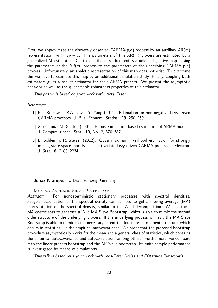First, we approximate the discretely observed  $CARMA(p,q)$  process by an auxiliary  $AR(m)$ representation,  $m > 2p - 1$ . The parameters of this AR(m) process are estimated by a generalized M–estimator. Due to identifiability, there exists a unique, injective map linking the parameters of the AR(m) process to the parameters of the underlying  $CARMA(p,q)$ process. Unfortunately, an analytic representation of this map does not exist. To overcome this we have to estimate this map by an additional simulation study. Finally, coupling both estimators gives a robust estimator for the CARMA process. We present the asymptotic behavior as well as the quantifiable robustness properties of this estimator.

This poster is based on joint work with Vicky Fasen.

#### References:

- [1] P.J. Brockwell, R.A. Davis, Y. Yang (2011). Estimation for non-negative Lévy-driven CARMA processes. J. Bus. Econom. Statist., 29, 250–259.
- [2] X. de Luna, M. Genton (2001). Robust simulation-based estimation of ARMA models. J. Comput. Graph. Stat., 10, No. 2, 370–387.
- [3] E. Schlemm, R. Stelzer (2012). Quasi maximum likelihood estimation for strongly mixing state space models and multivariate Lévy-driven CARMA processes. Electron. J. Stat., 6, 2185–2234.

Jonas Krampe, TU Braunschweig, Germany

#### Moving Average Sieve Bootstrap

Abstract: For nondeterministic stationary processes with spectral densities, Szegö's factorization of the spectral density can be used to get a moving average (MA) representation of the spectral density, similar to the Wold decomposition. We use these MA coefficients to generate a Wild MA Sieve Bootstrap, which is able to mimic the second order structure of the underlying process. If the underlying process is linear, the MA Sieve Bootstrap is able to mimic to the necessary extent the fourth order moment structure, which occurs in statistics like the empirical autocovariance. We proof that the proposed bootstrap procedure asymptotically works for the mean and a general class of statistics, which contains the empirical autocovariance and autocorrelation, among others. Furthermore, we compare it to the linear process bootstrap and the AR-Sieve bootstrap. Its finite sample performance is investigated by means of simulations.

This talk is based on a joint work with Jens-Peter Kreiss and Efstathios Paparoditis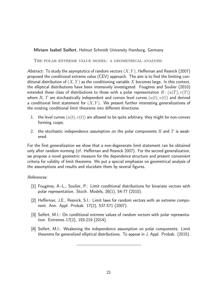### Miriam Isabel Seifert, Helmut Schmidt University Hamburg, Germany

The polar extreme value model: a geometrical analysis.

Abstract: To study the asymptotics of random vectors  $(X, Y)$ , Heffernan and Resnick (2007) proposed the conditional extreme value (CEV) approach. The aim is to find the limiting conditional distribution of  $(X, Y)$  as the conditioning variable X becomes large. In this context, the elliptical distributions have been intensively investigated. Fougères and Soulier (2010) extended these class of distributions to those with a polar representation  $R \cdot (u(T), v(T))$ where R, T are stochastically independent and convex level curves  $(u(t), v(t))$  and derived a conditional limit statement for  $(X, Y)$ . We present further interesting generalizations of the existing conditional limit theorems into different directions:

- 1. the level curves  $(u(t), v(t))$  are allowed to be quite arbitrary, they might be non-convex forming cusps,
- 2. the stochastic independence assumption on the polar components R and T is weakened.

For the first generalization we show that a non-degenerate limit statement can be obtained only after random norming (cf. Heffernan and Resnick 2007). For the second generalization, we propose a novel geometric measure for the dependence structure and present convenient criteria for validity of limit theorems. We put a special emphasize on geometrical analysis of the assumptions and results and elucidate them by several figures.

### References:

- [1] Fougères, A.-L., Soulier, P.: Limit conditional distributions for bivariate vectors with polar representation. Stoch. Models, 26(1), 54-77 (2010).
- [2] Heffernan, J.E., Resnick, S.I.: Limit laws for random vectors with an extreme component. Ann. Appl. Probab. 17(2), 537-571 (2007).
- [3] Seifert, M.I.: On conditional extreme values of random vectors with polar representation. Extremes 17(2), 193-219 (2014).
- [4] Seifert, M.I.: Weakening the independence assumption on polar components: Limit theorems for generalized elliptical distributions. To appear in J. Appl. Probab. (2015).